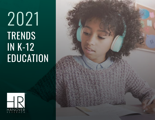# TRENDS IN K-12 **EDUCATION** 2021



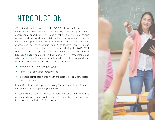# INTRODUCTION

While the disruption caused by the COVID-19 pandemic has created unprecedented challenges for K-12 leaders, it has also presented a generational opportunity for transformation and systemic reform across local, regional, and state education agencies. There is universal acceptance that inequities in educational access have been exacerbated by the pandemic, and K-12 leaders have a unique opportunity to leverage the lessons learned during the 2020-2021 school year as a catalyst for change. Hanover's 2021 Trends in K-12 Education Report summarizes what Hanover's K-12 researchers and advisors observed in their work with hundreds of local, regional, and state education agencies across the country including:

- A widening educational equity gap;
- Higher levels of teacher shortages; and
- Increased demand for mental health and social-emotional services for students and staff;

In addition, these challenges occur alongside decreases in public school enrollments and an impending budget crisis.

In each trends section, district leaders will also find Hanover's recommendations for innovating our K-12 education systems as we look ahead to the 2021-2022 school year.

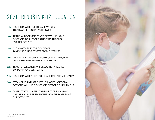# 2021 TRENDS IN K-12 EDUCATION

- **4 /** DISTRICTS WILL BUILD FRAMEWORKS TO ADVANCE EQUITY SYSTEMWIDE
- **6 /** TRAUMA-INFORMED PRACTICES WILL ENABLE DISTRICTS TO SUPPORT STUDENTS THROUGH MULTIPLE CRISES
- **8 /** CLOSING THE DIGITAL DIVIDE WILL TAKE ONGOING EFFORTS FROM DISTRICTS
- **10 /** INCREASE IN TEACHER SHORTAGES WILL REQUIRE INNOVATIVE RECRUITMENT STRATEGIES
- **12 /** TEACHER WELLNESS WILL REQUIRE TARGETED SUPPORTS AND SELF-CARE
- **14 /** DISTRICTS WILL NEED TO ENGAGE PARENTS VIRTUALLY
- **16 /** EXPANDING AND STRENGTHENING EDUCATIONAL OPTIONS WILL HELP DISTRICTS RESTORE ENROLLMENT
- **18 /** DISTRICTS WILL NEED TO PRIORITIZE PROGRAM AND RESOURCE EFFECTIVENESS WITH IMPENDING BUDGET CUTS

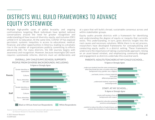### DISTRICTS WILL BUILD FRAMEWORKS TO ADVANCE EQUITY SYSTEMWIDE

Multiple high-profile cases of police brutality and ongoing confrontations targeting Black individuals have ignited national conversations around the need for greater recognition and understanding of how issues of diversity, equity, and inclusion (DEI) unfold in K-12 education. At the same time, COVID-19 has exposed persistent, systemic inequities in access to educational, medical, financial, and other opportunities in America, leading to a dramatic rise in the number of organizations publicly committing to efforts advancing DEI. For many districts, the DEI journey begins with awareness and recognition. However, because meaningful DEI work requires systemwide reforms, districts must act deliberately and

OVERALL, [MY CHILD'S/MY] SCHOOL SUPPORTS PEOPLE FROM DIVERSE BACKGROUNDS, INCLUDING:



at a pace that will build a broad, sustainable consensus across and within stakeholder groups.

Equity audits provide districts with a framework for identifying and understanding the degree of equity or inequity that currently exists. This understanding, in turn, gives districts insight into the root causes and necessary solutions. While there is no set process, researchers have developed frameworks for conceptualizing and conducting equity audits in a district setting. These frameworks underscore the importance of taking a systemwide approach, relying on an asset-based mindset, and emphasizing community dialogue and engagement as districts undertake this essential work.

#### PARENTS: ADULTS/TEACHERS AT MY CHILD'S SCHOOL… *% Agree or Strongly Agree*



by Hanover Research in November-December 2020.1

4 © 2021 Hanover Research K12WP1020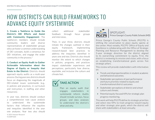### HOW DISTRICTS CAN BUILD FRAMEWORKS TO ADVANCE EQUITY SYSTEMWIDE

**1. Create a Taskforce to Guide the District's DEI Efforts and Assist with Community Engagement:** The taskforce's members should include community leaders and diverse representatives of stakeholder groups who can foster a common understanding of DEI concepts, build a consensus for DEI initiatives, and engage the wider community in the process.2

**2. Conduct an Equity Audit to Gather Actionable Information about the Degree of Equity or Inequity that Exists in the District:** Districts should approach equity audits as a multi-year process. During year one, districts should focus on diagnosing the magnitude of DEI-related issues systemwide (e.g., in policies and practices, in curriculum and instruction, in staffing and other resources).

© 2021 Hanover Research  $5$ K12WP1020 In year two, districts should conduct a comprehensive root cause analysis to understand the systemwide factors that influence the equities and inequities identified in the year one analyses. Year two also should

collect additional stakeholder feedback through focus groups and interviews.

Then, in year three, districts should initiate the changes outlined in their equity framework, implementing research-based best practices to address the inequities identified in years one and two. Districts also should monitor the extent to which changes in policies, programs, and practices impact stakeholder experiences and perceptions, particularly how diverse, equitable, and inclusive the culture and climate feel.

### TAKE ACTION

Plan an equity audit that engages stakeholders in systemwide reform. Audits should include surveys, focus groups, and data analyses to understand the district's what and why.



SPOTLIGHT: Prince George's County Public Schools (MD)

Prince George's County Public Schools (PGCPS) is shifting the conversation to place equity openly at the center. Most notably, PGCPS' Office of Equity and Excellence is collaborating with the Office of Strategic Planning and Resource Management to develop the 5-year strategic direction for the district aligned to its overarching commitment to equity. First, the district is reviewing its mission and vision, with a focus on establishing transformational goals across five strategic pillars.

This review will provide stakeholders with information on:

- $\triangleright$  Trends and disproportionalities in student academic and behavioral outcomes;
- $\triangleright$  Stakeholder perceptions of past performance and future priorities related to equity and transformational district outcomes
- $\triangleright$  Stakeholder perceptions of district and school culture and climate;
- ▶ Potential equity-focused KPIs for strategic plan progress-monitoring.

This work will help PGCPS define its strategic priorities and select new KPIs to track progress toward equity and other strategic plan goals, which the district will share with stakeholders at least annually.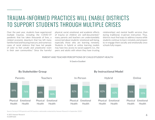### TRAUMA-INFORMED PRACTICES WILL ENABLE DISTRICTS TO SUPPORT STUDENTS THROUGH MULTIPLE CRISES

Over the past year, students have experienced multiple traumas, including the COVID-19 pandemic that has taken thousands of lives, a related economic downturn that has left many families food and housing insecure, and numerous cases of racial violence that have led people of color to feel unsafe and unwelcome—even in their own communities.3 Since the harmful physical, social, emotional, and academic effects of trauma on children are well-documented,4 many parents and teachers are understandably concerned about students' emotional well-being, especially those who are learning remotely. Students in hybrid or online learning models may have less access to social supports (i.e., the peers and adults with whom they have trusting

relationships) and mental health services than during traditional, in-person instruction. Thus, districts must find ways to address trauma while students continue to learn remotely and prepare to re-engage them socially and emotionally once schools fully reopen.

#### PARENT AND TEACHER PERCEPTIONS OF CHILD/STUDENT HEALTH

*% Good or Excellent*



**By Stakeholder Group By Instructional Model** 

Source: Survey of 494 parents and 545 teachers nationwide conducted by Hanover Research in September 2020.5

© 2021 Hanover Research <del>contract the contract the contract the contract the contract the contract of contract the contract of contract the contract of contract of contract the contract of contract of contract of contract </del> K12WP1020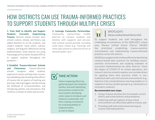### HOW DISTRICTS CAN USE TRAUMA-INFORMED PRACTICES TO SUPPORT STUDENTS THROUGH MULTIPLE CRISES

**1. Train Staff to Identify and Support Students Currently Experiencing Trauma:** Districts should consider each school's culture, climate, and history; pay added attention to at-risk students; and respect students' racial, ethnic, cultural, religious, and linguistic differences during implementation. Some districts are using Psychological First Aid for Schools (PFA-S) to support students throughout the pandemic. 6

#### **2. Establish Trauma-Informed Schools**

**and Classrooms:** Trauma-informed schools recognize when students experience trauma and help them recover by embedding understanding of the effects of trauma into all aspects of teaching and learning; reducing triggers and decreasing the likelihood of re-traumatization; and introducing policies and procedures that reinforce a climate of safety and security.7

**3. Leverage Community Partnerships:**  Community partnerships enable districts to connect students and families with supports and services that schools cannot provide, including some basic needs (e.g., housing) and some specialized or intensive forms of mental health care.8



### TAKE ACTION

Inform reopening efforts by gathering input from students, families, and staff, identifying best practices suited to the local context, developing action steps to introduce such measures systemwide, and then creating a framework for evaluating fidelity of implementation, as well as impact.



#### SPOTLIGHT: Marana Unified School District (AZ)

To support students and staff throughout the challenging circumstances of the 2020-2021 school year, Marana Unified School District (MUSD) has prioritized establishing trauma-sensitive environments and implementing trauma-informed practices across the district.

MUSD has sought to inform these efforts by identifying research-based best practices for building traumasensitive environments and studying examples of successful implementation by other districts. Given the impact of COVID-19 on school operations, this research also has aimed to explore any considerations for applying these best practices either in nontraditional work and instructional environments (e.g., hybrid or fully remote/distance learning models) or in support of various student groups (e.g., elementary or secondary students).

#### **Recommended next steps:**

- 1. Using a trauma-sensitive lens to evaluate current district and school policies and procedures;
- 2. Gathering staff perceptions of how school environments can effectively address trauma; and
- 3. Providing staff with professional learning on trauma-informed practices.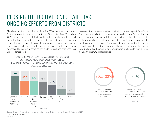### CLOSING THE DIGITAL DIVIDE WILL TAKE ONGOING EFFORTS FROM DISTRICTS

The abrupt shift to remote learning in spring 2020 served as a wake-up call for the nation on the scale and persistence of the digital divide. Throughout 2020, many states and districts addressed the digital divide through innovative, but often short-term, measures to ensure student participation in remote learning. Districts, for example, have conducted outreach to students and families, collaborated with Internet service providers, distributed devices and hotspots, and compiled non-digital instructional resources on an unprecedented scale.

However, this challenge pre-dates and will continue beyond COVID-19. Districts increasingly utilize remote learning for other types of school closures, such as snow days or natural disasters, providing justification for calls to continue expanding technology access post-pandemic. School closures aside, the "homework gap" remains. With many students lacking the technology needed to complete routine schoolwork at home even when schools are open, the digital divide will continue to pose a significant challenge to many districts along with other DEI-related issues.

### TEACHERS/PARENTS: WHAT ADDITIONAL TOOLS OR TECHNOLOGY [DO YOU/DOES YOUR CHILD] NEED TO [ENGAGE IN ONLINE LEARNING/WORK REMOTELY]?



*Please select all that apply*



Source: Survey of 494 parents and 545 teachers nationwide conducted by Hanover Research in September 2020.5

8 © 2021 Hanover Research K12WP1020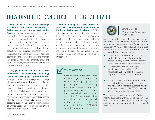# HOW DISTRICTS CAN CLOSE THE DIGITAL DIVIDE

**1. Form Public and Private Partnerships to Identify and Address Disparities in Technology Access Across and Within Districts:** Many Americans hold districts responsible for supplying the devices and Internet access needed to fully engage in remote learning to any students whose families cannot afford them.10 Districts should seek opportunities—either individually or collectively—to leverage partnerships with local, state, and federal government agencies, technology providers, businesses and financial institutions, nonprofit organizations, and advocacy groups, among others to identify and address these disparities.

#### **2. Engage Families and Other Diverse Stakeholders in Detecting Technology Needs and Developing Targeted Solutions:**

A larger outreach and engagement strategy ultimately will enable districts to design an implementation plan more responsive to the needs of historically underserved students and families. Stakeholder engagement should include opportunities to develop a shared commitment to increased technology access; identify existing community resources and assets to support this vision; determine areas of unmet need; and form public and private partnerships to close these gaps.11

**3 Provide Funding and Other Resources to Districts Serving Rural Communities to Facilitate Technology Provision:** COVID-19-related school closures have led to many innovations in Internet service provision to rural communities, such as use of school buses to extend rural districts' broadband networks, distribution of wireless hotspots, and creation of private broadband networks. However, many rural districts lack adequate finances to support long-term implementation of such strategies.<sup>12</sup>



Examine feasibility for permanently offering hybrid and/or fully remote learning options as part of personalized learning initiatives. Survey students and parents to gather information on access to high-speed Internet and other forms of technology needed to complete schoolwork at home and preferred learning models to inform 2021-2022 school year reopening plans.



SPOTLIGHT: West Virginia Department of Education

As part of wider efforts to address systemic inequities and support districts during remote learning, West Virginia Department of Education (WVDE) is conducting a multi-phase study of the relationship between Internet access and student achievement.

- An initial analysis will use ArcGIS software to pinpoint individual school attendance zones with the greatest need for additional resources to provide home Internet access.
- $\blacktriangleright$  A subsequent analysis will map the locations of state-provided Wi-Fi hotspots to highlight potential gaps and disproportionalities across and within districts.
- $\blacktriangleright$  The final analysis will look for evidence of a correlation between home Internet access and individual student achievement, as well as between state-provided Wi-Fi hotspots and regional academic performance.

The state will use the study's findings to inform discussions with potential funders and supporters of initiatives to increase technology and Internet access to students across West Virginia.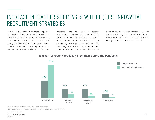### INCREASE IN TEACHER SHORTAGES WILL REQUIRE INNOVATIVE RECRUITMENT STRATEGIES

COVID-19 has already adversely impacted the teacher labor market.<sup>13</sup> Approximately one-third of teachers report that they are somewhat or very likely to leave their jobs during the 2020-2021 school year.<sup>14</sup> These concerns arise amid declining numbers of teacher candidates available to fill open

positions. Total enrollment in teacher preparation programs fell from 940,520 students in 2010 to 604,264 students in 2018, and the number of enrolled students completing these programs declined 28% over roughly the same time period.15 Limited in terms of financial incentives, districts will

need to adjust retention strategies to keep the teachers they have and adopt innovative recruitment practices to attract and hire strong candidates for open positions.<sup>16</sup>

### Teacher Turnover More Likely Now than Before the Pandemic



Survey Prompt: *NOW what is the likelihood you will leave your job this year?*

Survey Prompt: *BEFORE the coronavirus pandemic, what was your likelihood of leaving your job this year?*

Source: Education Week<sup>17</sup>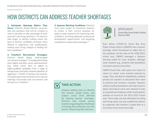### HOW DISTRICTS CAN ADDRESS TEACHER SHORTAGES

**1. Anticipate Openings Before They Occur:** Districts should identify vacancies and new positions that will be created as soon as possible to take advantage of early outreach and hiring timelines.18 As districts take longer to identify staffing needs, the pool of teacher candidates becomes more diluted in experience and qualifications, making early hiring integral to finding the best candidates<sup>19</sup>

**2. Transform Recruitment Strategies:**

Districts should deploy multi-pronged recruitment strategies,<sup>20</sup> including diversifying print, digital, and other career advertisements (e.g., online career fairs) to appeal to highly-qualified candidates from a range of backgrounds and build sustained pipelines of applicants.21 COVID-19 furthers the need for innovation given that restrictions on in-person meetings necessitate that recruitment and hiring occur remotely.<sup>22</sup>

**3. Improve Working Conditions:** Districts must work harder to incentivize teachers to remain in their current positions (or apply to open positions) by improving work conditions, providing adequate professional development opportunities, and designing competitive compensation packages.23

### TAKE ACTION

Analyze staffing data to identify the schools, grade levels, and subject areas most affected by existing teacher shortages. Districts also should survey teachers regarding their likelihood of leaving the profession and the factors influencing their decision.



SPOTLIGHT<sup>.</sup> Green Bay Area Public School District (WI)

Even before COVID-19, Green Bay Area Public School District (GBAPS) had a teacher shortage, which threatened to widen due to the pandemic. At the start of the 2020-2021 school year, GBAPS leveraged a distance learning model for most students, although some students (e.g., students with disabilities) received in-person instruction.

GBAPS found that, when given the choice to return to school, many teachers planned to resign. Thus. the district established a medical process for teachers to document their need to perform job functions remotely. Teachers without medical exemptions who had concerns about returning to work were allowed to take an unpaid leave of absence while retaining their position of record for the 2021-2022 school year. These steps not only alleviated recruiting and hiring needs, but also enabled the district to cooperate with teachers in good faith at a time when stress levels were high.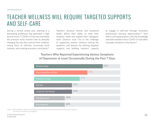### TEACHER WELLNESS WILL REQUIRE TARGETED SUPPORTS AND SELF-CARE

During a normal school year, teaching is a demanding profession that generates a high level of stress.24 COVID-19 has only intensified the pressure many teachers feel by abruptly changing the way they instruct their students, raising fears of infection, increasing social isolation, and creating economic uncertainty.25

Teachers' physical, mental, and emotional health affects their ability to meet their students' needs and support their colleagues' work. Districts must rise to the challenge of supporting teacher wellness—during the pandemic and beyond—by offering targeted supports and building teachers' capacity to engage in self-care through innovative professional learning opportunities.<sup>26</sup> Such efforts will equip teachers with the knowledge and skills needed to face COVID-19 and other traumatic situations in the future.27

### Teachers Who Reported Experiencing Various Symptoms of Depression at Least Occasionally During the Past 7 Days

| <b>Restless Sleep</b>    |     |     |     | 43% |
|--------------------------|-----|-----|-----|-----|
| Everything Was an Effort |     |     | 34% |     |
| <b>Trouble Focusing</b>  |     | 29% |     |     |
| Felt Sad                 | 24% |     |     |     |
| Could not "Get Going"    | 24% |     |     |     |
| <b>Felt Depressed</b>    | 20% |     |     |     |
| Poor Appetite            | 20% |     |     |     |

Source: EdPolicyWorks, University of Virginia, and Graduate School of Education and Information Studies, University of California Los Angeles<sup>28</sup>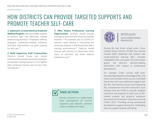### HOW DISTRICTS CAN PROVIDE TARGETED SUPPORTS AND PROMOTE TEACHER SELF-CARE

**1. Implement a Comprehensive Employee Wellness Program:** Self-care enables teachers to perform their role effectively without experiencing burnout.29 Employee wellness programs, community-building initiatives, and other interventions can grow capacity for self-care.30

#### **2. Build Supportive Staff Communities:**

Districts should create and sustain professional learning communities and other connections among teachers to strengthen their protective factors and increase their self-efficacy.<sup>31</sup>

**3. Offer Robust Professional Learning Opportunities:** Districts should provide trainings as diverse as the stressors faced by teachers.32 For example, due to COVID-19, teachers need training in instructing and assessing students in hybrid and fully online learning environments.33 Districts should consult with teachers to determine which topics to prioritize and which delivery methods to use.34



SPOTLIGHT: Ceres Unified School District (CA)

During the last three school years, Ceres Unified School District (CUSD) has actively tracked staff's familiarity and comfort with social-emotional learning (SEL) concepts embedded in the curriculum. This information guides the district's decision-making, particularly with respect to professional development.

For example, CUSD surveys staff semiannually regarding their knowledge of SEL. The most recent iteration of this survey in fall 2020 found that staff need additional support with the SEL intervention process and integrating SEL competencies into their instruction. Such findings have led CUSD to provide targeted assistance and supports to staff, such as SELrelated modules and technical assistance documents from Hanover's Educator Learning Center (ELC). Providing strong professional development support during this challenging time can support teacher well-being.



Survey teachers to understand their perceptions of current supports and identify common areas of additional need.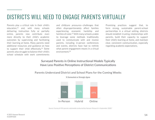### DISTRICTS WILL NEED TO ENGAGE PARENTS VIRTUALLY

Parents play a critical role in their child's education,35 and, with many schools delivering instruction fully or partially online, parents now contribute even more directly to their child's academic outcomes by supervising and facilitating their learning at home. Many parents need additional resources and guidance on how to support their child effectively.<sup>36</sup> Some parents also struggle to balance their child's school schedule with work commitments

and childcare pressures—challenges that often disproportionately affect families experiencing economic hardship and families of color.37 With many schools unable to leverage some methods traditionally used to communicate with and involve parents, including in-person conferences and events, districts have had to rethink what parent engagement means in a virtual environment.38

Promising practices suggest that, to form strong, sustainable parent-school partnerships in a virtual setting, districts should establish trusting relationships with parents, build their capacity to support their child's learning at home, and maintain clear, consistent communication, especially regarding academic expectations.

### Surveyed Parents in Online Instructional Models Typically Have Less Positive Perceptions of District Communications





*% Somewhat or Strongly Agree*

Source: Survey of 494 parents nationwide conducted by Hanover Research in September 2020.5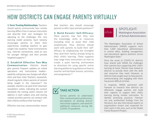# HOW DISTRICTS CAN ENGAGE PARENTS VIRTUALLY

**1. Form Trusting Relationships:** Teachers should openly communicate how remote learning differs from in-person instruction and describe their own strategies for adjusting to the challenges this new learning model presents. Such honesty encourages parents to share their experiences, enabling teachers to gain insight into students' home environments (e.g., Internet connectivity, need to care for younger siblings) and then provide targeted supports.39

#### 2. Establish Effective Two-Way

**Communication:** Districts should give parents frequent updates on school operations and instructional models explicitly noting how any changes will affect them and their child. Teachers, meanwhile, should regularly inform parents of content being taught in the classroom.<sup>40</sup> For example, teachers can post brief classroom newsletters online, indicating the content standards the coming week's lessons will address in each subject area and sharing related activities parents can conduct with their child to reinforce their learning.41

Effective two-way communication means

that teachers also should encourage parents to offer input and ask questions.42

#### **3. Build Parents' Self-Efficacy:**

Many parents may feel they lack the knowledge, skills, or resources (including time) to assist their child academically. Thus, districts should work with parents to build their selfefficacy by emphasizing the strengths they (and their family) already bring to their child's learning. These supports may range from instructions on how to create a quiet learning environment to directions for using specific online learning platforms to guidance on how to monitor and facilitate lessons, activities, and assignments.43



Survey parents to understand their communication preferences, perceptions of existing district and school supports, and need for additional resources during the COVID-19 pandemic.



### SPOTLIGHT: Washington Association of School Administrators

The Washington Association of School Administrators (WASA) supports more than 1,600 educational administrators in central office, building management, and educational agency positions across Washington State.<sup>1</sup>

Since the onset of COVID-19, districts have shared with WASA the challenges their parents face supporting their child's learning at home. Parents have looked to districts to provide them with the skills and resources they need. However, as districts have sought ways to help parents, communicating and engaging with them has proven difficult at times.

In response, WASA partnered with Hanover to research how districts can effectively engage parents and build their capacity to support their child's learning during remote instruction. To identify promising practices, Hanover not only synthesized findings from the literature, but also interviewed experts at organizations known and respected for their work in this area, such as the Global Family Research Project.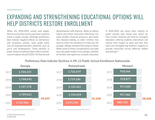### EXPANDING AND STRENGTHENING EDUCATIONAL OPTIONS WILL HELP DISTRICTS RESTORE ENROLLMENT

When the 2020-2021 school year began, districts across the country saw fewer students enroll in public schools. Although preliminary data indicate negative effects on elementary and secondary schools, some grade levels may be disproportionately impacted, such as pre-K and Kindergarten. These declines in public school enrollment often reflect families' concerns about risks of COVID-19 infection and

dissatisfaction with districts' ability to deliver hybrid and online instruction effectively. For some families, financial pressures also factor into decision-making, as older children may need to enter the workforce or help care for younger siblings instead of focusing on school. While some of these considerations may fade once the public health crisis subsides, whether all families who opted out of public education

in 2020-2021 will return their children to public schools next school year seems far from certain. Districts will need to reimagine education, offering students alternatives and choices with respect to what and how they learn and strengthening teachers' capacity to provide instruction across different models and settings.44

### Preliminary Data Indicate Declines in PK-12 Public School Enrollment Nationwide



© 2021 Hanover Research  $16$ K12WP1020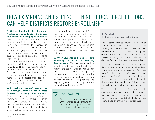### HOW EXPANDING AND STRENGTHENING EDUCATIONAL OPTIONS CAN HELP DISTRICTS RESTORE ENROLLMENT

### **1. Gather Stakeholder Feedback and Analyze Data to Understand the Causes and Effects of Changing Enrollments:**

Districts should examine enrollment data to identify the schools and grade levels most affected by changes in student counts and consider shifts in student demographics as well, such as changing proportions of English learners, students with disabilities, and students experiencing poverty. Districts can also work to understand why parents did (or did not) enroll their child in public school in 2020-2021 and the factors that will influence their enrollment decisions for next school year. Findings from these analyses will help districts make more informed operational decisions, particularly with respect to facilities, staffing, and student supports.

#### **2. Strengthen Teachers' Capacity to Provide High-Quality Instruction Across Different Learning Environments:** Districts need to respond to families' frustrations with the content students learn during remote instruction and the methods teachers use to deliver it. Thus, districts should assess the suitability of grade-level curricula, instructional units,

and instructional resources to different learning environments and make adjustments as needed. Districts also should offer professional development opportunities that enable teachers to build the skills and confidence required to effectively communicate with, instruct, and assess students in each of these settings.<sup>48</sup>

#### **3. Offer Students and Families More Flexibility and Choice in Learning**

**Environments:** Districts need to explore ways to provide students and families with greater choices in learning environments. Districts may consider offering more personalized experiences by creating small learning communities, providing permanent online learning options, and expanding supports, including tutoring, mentoring, and counseling.49



Survey or conduct focus groups with parents to understand the factors motivating their current and future enrollment decisions.

### SPOTLIGHT: District in Southeastern United States

This District enrolled roughly 7,000 fewer students than anticipated for the 2020-2021 school year. Given the impact unexpectedly low enrollment may have on district funding and operations, the district has commissioned a data analysis exploring how students who left the district differ from their peers who re-enrolled.

In particular, the data analysis is examining how these students differ in terms of: school level; grade level; academic achievement (e.g., test scores); behavior (e.g., disciplinary incidents); program participation (e.g., special education, English language learner, gifted and talented); demographics (e.g., gender, race/ethnicity); and family characteristics (e.g., experiencing poverty).

The district will use the findings from the data analysis not only to develop targeted strategies for re-engaging these students and their families, but also to inform the district's budgetary and operational planning for future school years.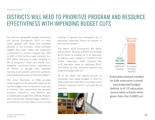### DISTRICTS WILL NEED TO PRIORITIZE PROGRAM AND RESOURCE EFFECTIVENESS WITH IMPENDING BUDGET CUTS

For districts nationwide, budget uncertainty will persist throughout 2021 as many states grapple with sharp and sustained declines in tax revenues. Initial estimates suggest that some states may experience contractions in revenue ranging from 10% to 20%. A 10% decline could translate to a \$21 billion decrease in state spending on PK-12 programs.<sup>50</sup> Such cuts would occur alongside increasing district expenditures on efforts to provide safe, equitable learning environments amid the pandemic, exacerbating pressures on district budgets.51

The Great Recession of 2008 provides some insight into the potential impact of the current budget crisis on students, especially in districts that experienced the greatest economic downturns and districts that enrolled higher proportions of Black, Hispanic, and economically disadvantaged students.<sup>52</sup> Such districts are more likely to rely on state funding, in general, and emergency aid, in particular—important factors to consider in the current context.53

The March 2020 Coronavirus Aid, Relief, and Economic Security (CARES) Act included \$13.2 billion in funding for K-12 education to address costs related to COVID-19 and school reopening.<sup>54</sup> Some estimate that K-12 education needs an additional \$100- 250 billion to fully overcome current and projected budget deficits.55

All of the above will require districts to reevaluate and realign budgets in 2021 to determine how to allocate increasingly scarce financial resources across a growing list of priorities.





Estimated amount needed to fully overcome current and projected budget deficits in K-12 education versus what schools were given from the CARES act

K12WP1020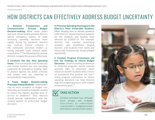### HOW DISTRICTS CAN EFFECTIVELY ADDRESS BUDGET UNCERTAINTY

**1. Enhance Transparency and Communication Around Budget Decision-making:** While some states and local school boards granted districts special emergency powers to make necessary spending decisions more rapidly during the pandemic, districts may confront intense criticism if the community perceives leaders as having allocated funds without public consultation.56 The following tips can help districts navigate this process effectively.

**2. Carefully Vet Any New Spending Items:** Districts should carefully allocate and closely monitor any new spending supported by emergency funding, both to protect against any public criticism and comply with any reporting or accountability requirements.

**3. Frame Budget Decision-making Processes Around Students:** Stakeholders may be more receptive to budget cuts when they are framed as tradeoffs needed to ensure the highest possible level of service to students.<sup>54</sup> Thus, districts should provide stakeholders with the context needed to understand budget decisions.

#### **4. Prioritize Spending that Supports the District's Most Vulnerable Students:**

When deciding how to allocate pandemic relief, districts should maximize supports for the students and families most affected by COVID-19. For example, districts may consider prioritizing students with disabilities, English learners, and students from newly and historically economically disadvantaged households.

#### **5. Conduct Program Evaluations and Use the Findings to Inform Budget**

**Decisions:** Districts seeking to downsize or eliminate programs should examine outcome data to determine which initiatives benefit students with a return on investment that justifies the cost.<sup>58</sup> Using program evaluations to inform spending decisions can help districts align the budgeting process with student achievement goals.59

### TAKE ACTION

Conduct outreach (e.g., through focus groups and in-depth interviews) to understand stakeholders' budget priorities and inform communication plans.

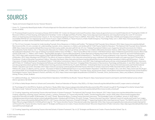# SOURCES

#### <sup>1</sup> "Equity and Inclusion Diagnostic Survey." Hanover Research.

- <sup>2</sup> Green, T.L. "Community-Based Equity Audits: A Practical Approach for Educational Leaders to Support Equitable Community-School Improvements." Educational Administration Quarterly, 53:1, 2017, p.5. Access via SAGE.
- <sup>3</sup> [1] "Provisional Death Counts for Coronavirus Disease 2019 (COVID-19)." Centers for Disease Control and Prevention. https://www.cdc.gov/nchs/nvss/vsrr/covid19/index.htm [2] "Tracking the COVID-19 Recession's Effects on Food, Housing, and Employment Hardships." Center on Budget and Policy Priorities. https://www.cbpp.org/research/poverty-and-inequality/tracking-the-covid-19-recessionseffects-on-food-housing-and [3] Somvichian-Clausen, A. "Are You Experiencing Racial Trauma? If You're a BIPOC, Most Likely." The Hill, July 1, 2020. https://thehill.com/changing-america/respect/ accessibility/505418-are-you-experiencing-racial-trauma-if-youre-a-bipoc [4] Winley, D. "Racial Trauma Is a Public Health Emergency." Psychology Today, June 1, 2020. https://www.psychologytoday.com/ us/blog/take-care-black-women/202006/racial-trauma-is-public-health-emergency
- <sup>4</sup> [1] "The 12 Core Concepts: Concepts for Understanding Traumatic Stress Responses in Children and Families." The National Child Traumatic Stress Network, 2012. https://www.nctsn.org/sites/default/ files/resources//the 12 core concepts for understanding traumatic stress responses in children and families.pdf [2] "Child Trauma Toolkit for Educators." The National Child Traumatic Stress Network, 2008. https://www.nctsn.org/sites/default/files/resources//child\_trauma\_toolkit\_educators.pdf [3] Cole, S.F. et al. "Helping Traumatized Children Learn: Supportive School Environments for Children Traumatized by Family Violence, Vol. 1." Massachusetts Advocates for Children, Harvard Law School, and Task Force on Children Affected by Domestic Violence. 2005. https://traumasensitiveschools.org/ tlpi-publications/download-a-free-copy-of-helping-traumatized-children-learn/ [4] Miller, C. "How Trauma Affects Kids in School." Child Mind Institute. https://childmind.org/article/how-trauma-affects-kidsschool/ [5] Brunzell, T., L. Waters, and H. Stokes. "Teaching With Strengths in Trauma-Affected Students: A New Approach to Healing and Growth in the Classroom." American Journal of Orthopsychiatry, 85:1, 2015. https://pdfs.semanticscholar.org/a641/39bc07d810055ddd9ee796aad112df260386.pdf [6] Rodenbush, K. "The Effects of Trauma on Behavior in the Classroom." Monterey County Office of Education, 2015. https://docplayer.net/25954072-The-effects-of-trauma-on-behavior-in-the-classroom-presented-by-kacey-rodenbush-lmft-behavioral-health-unit-supervisor.html [7] Krasnoff, B. "A Practitioner's Guide to Educating Traumatized Children." Education Northwest. https://educationnorthwest.org/sites/default/files/resources/educating-traumatized-children.pdf [8] Downey, L. "Calmer Classrooms: A Guide to Working with Traumatised Children." Child Safety Commissioner, State of Victoria, June 2007. http://makingsenseoftrauma.com/wp-content/uploads/2016/02/calmer\_classrooms. pdf [9] Tobin, M. "Childhood Trauma: Developmental Pathways and Implications for the Classroom." Changing Minds: Discussions in Neuroscience, Psychology and Education, 3, July 2016. https://research. acer.edu.au/cgi/viewcontent.cgi?article=1019&context=learning\_processes [10] McInerney, M. and A. McKlindon. "Unlocking the Door to Learning: Trauma-Informed Classrooms and Transformational Schools." Education Law Center, December 2014. https://www.elc-pa.org/wp-content/uploads/2015/06/Trauma-Informed-in-Schools-Classrooms-FINAL-December 2014-2.pdf [11] Burke, N.J., J.L. Hellman, B.G. Scott, C.F. Weems, and V.G. Carrion. "The Impact of Adverse Childhood Experiences on an Urban Pediatric Population." Child Abuse & Neglect, 35:6, June 2011. https://www.ncbi.nlm.nih.gov/ pmc/articles/PMC3119733/pdf/nihms292567.pdf [12] Goodman, R., M. Miller, and C. West-Olatunji. "Traumatic Stress, Socioeconomic Status, and Academic Achievement Among Primary School Students." Psychological Trauma: Theory, Research, Practice, and Policy, 4:3, 2012. https://www.researchgate.net/publication/232560514 Traumatic\_Stress\_Socioeconomic\_Status\_and\_Academic\_Achievement\_ Among\_Primary\_School\_Students
- <sup>5</sup> For additional findings, see: "National Survey School District Operations: Fall 2020 Survey Results." Hanover Research. https://www.hanoverresearch.com/reports-and-briefs/national-survey-schooldistrict-operations-fall-2020/
- <sup>6</sup> [1] "A Plan to Safely Reopen America's Schools and Communities." American Federation of Teachers, May 2020, p. 10. https://www.aft.org/sites/default/files/covid19 reopen-america-schools.pdf

[2] "Psychological First Aid (PFA) for Students and Teachers." Ready, 2006. https://www.ready.gov/sites/default/files/documents/files/PFA\_SchoolCrisis.pdf [3] "Psychological First Aid for Schools Field Operations Guide." National Traumatic Stress Network and National Center for PTSD, 2012. https://www.nctsn.org/sites/default/files/resources//pfa\_schools.pdf

<sup>7</sup> [1] "Creating, Supporting, and Sustaining Trauma-Informed Schools: A System Framework." The National Child Traumatic Stress Network, 2017. https://www.nctsn.org/sites/default/files/resources/ creating supporting sustaining trauma informed schools a systems framework. [2] "Trauma-Informed SEL Toolkit." Transforming Education, January 2020. https://www.transformingeducation. org/trauma-informed-sel-toolkit/ [3] Buckwalter, K.D. and C. Powell. "Beyond the Basics: Creating Trauma-Informed Classrooms." The Knowledge Center at Chaddock, January 4, 2018. https:// creatingtraumasensitiveschools.org/wp-content/uploads/Buckwalter-Handouts.pdf [4] Pickens, I.B. and N. Tschopp. "Trauma-Informed Classrooms." National Council of Juvenile and Family Court Judges, 2017. https://www.ncjfcj.org/sites/default/files/NCJFCJ\_SJP\_Trauma\_Informed\_Classrooms\_Final.pdf [5] Wright, T. "Supporting Students Who Have Experienced Trauma." The NAMTA Journal, 42:2, 2017. https://files.eric.ed.gov/fulltext/EJ1144506.pdf [6] Craig, S.E. "The Trauma-Sensitive Teacher." Educational Leadership, September 2016. http://www.ascd.org/publications/educational\_leadership/sept16/ vol74/num01/The\_Trauma-Sensitive\_Teacher.aspx [7] "Strategies and Resources to Create a Trauma-Sensitive School." Wisconsin Department of Public Instruction. https://dpi.wi.gov/sites/default/files/imce/ sspw/pdf/traumastrategies.pdf

<sup>8 [1] &</sup>quot;Creating, Supporting, and Sustaining Trauma-Informed Schools: A System Framework," Op. cit. [2] "Strategies and Resources to Create a Trauma-Sensitive School," Op. cit.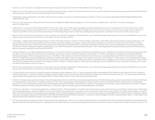- <sup>9</sup> Chandra, S., et. al. "Closing the K-12 Digital Divide in the Age of Distance Learning." Common Sense Media and Boston Consulting Group,
- <sup>10</sup> Vogels, E.A. et al. "53% of Americans Say the Internet Has Been Essential During the COVID-19 Outbreak." Pew Research Center, April 30, 2020. https://www.pewresearch.org/internet/2020/04/30/53-ofamericans-say-the-internet-has-been-essential-during-the-covid-19-outbreak/
- <sup>11</sup>"Digital Equity: Supporting Students and Families in Out of School Learning." Consortium for School Networking, June 2018. p. 5. https://cosn.org/sites/default/files/2018%20Digital%20Equity%20 Toolkit%20FINAL\_0.pdf
- <sup>12</sup> Van Ah, A. "FCC Should Assess Making Off-School Premises Access Eligible for Additional Federal Support." U.S. Government Accountability Office, July 2019. p. 11. https://www.gao.gov/ assets/710/700629.pdf
- 13 [1] Brenan, M. "K-12 Teachers Worried About COVID-19 on the Job." Gallup, July 24, 2020. https://news.gallup.com/poll/316055/teachers-worried-covid-job.aspx [2] Harris, B. and N. Morton. "When Schools Reopen, We May Not Have Enough Teachers." The Hechinger Report, September 3, 2020. https://hechingerreport.org/when-schools-reopen-we-may-not-have-enough-teachers/ [3] Perry, A. "Teachers Could Retire in Droves by the Time Schools Reopen." The Hechinger Report, April 14, 2020. https://hechingerreport.org/teachers-could-retire-in-droves-by-the-time-schools-reopen/
- <sup>14</sup> Will, M. "Surveys: Most Teachers Don't Want In-Person Instruction, Fear COVID-19 Heath Risks." Education Week, July 24, 2020. http://blogs.edweek.org/teachers/teaching\_now/2020/07/surveys\_most\_ teachers\_dont\_want\_inperson\_instruction\_fear\_covid\_health\_risks.html?cmp=SOC-SHR-FB
- <sup>15</sup> [1] Partelow, L. "What to Make of Declining Enrollment in Teacher Preparation Programs." Center for American Progress, December 3, 2019. https://www.americanprogress.org/issues/education-k-12/ reports/2019/12/03/477311/make-declining-enrollment-teacher-preparation-programs/ [2] Camera, L. "Sharp Nationwide Enrollment Drop in Teacher Prep Programs Cause for Alarm." U.S. News and World Report, December 3, 2019. https://www.usnews.com/news/education-news/articles/2019-12-03/sharp-nationwide-enrollment-drop-in-teacher-prep-programs-cause-for-alarm [3] Will, M. "Enrollment in Teacher-Preparation Programs Is Declining Fast. Here's What the Data Show." Education Week, December 3, 2019. http://blogs.edweek.org/teachers/teaching\_now/2019/12/enrollment teacher\_preparation\_declining\_fast.html?cmp=SOC-SHR-FB
- <sup>16</sup> [1] Mason-Williams, L. et al. "Addressing Shortages of Educators in an Uncertain COVID-19 Landscape: Viewing Teacher Candidates as Assets." CEEDAR Center, University of Florida; American Association of Colleges for Teacher Education; and Center on Great Teachers and Leaders, American Institutes for Research, June 2020. pp. 1–4. https://ceedar.education.ufl.edu/wp-content/uploads/2020/06/ Addressing-Shortages-COVID-Landscape.pdf [2] Garcia, E. and E. Weiss, "Policy Solutions to Deal with the Nation's Teacher Shortage—a Crisis Made Worse by COVID-19." Economic Policy Institute, October 16, 2020. https://www.epi.org/blog/policy-solutions-to-deal-with-the-nations-teacher-shortage-a-crisis-made-worse-by-covid-19/ [3] Chapman, T. "Q&A: How Serious Is the Nationwide Teacher Shortage and Why Should We Care?" University of Denver, February 27, 2020. https://www.du.edu/news/qa-how-serious-nationwide-teacher-shortage-and-why-should-we-care [4] Tate, E. "Survey: Nearly Half of Teachers Have Recently Considered a Job Change as COVID-19 Drags On." EdSurge, August 31, 2020. https://www.edsurge.com/news/2020-08-31-survey-nearly-half-of-teachers-have-recentlyconsidered-a-job-change-as-covid-19-drags-on
- <sup>17</sup> Will, M. "Surveys: Most Teachers Don't Want In-Person Instruction, Fear COVID-19 Heath Risks." Education Week, July 24, 2020. http://blogs.edweek.org/teachers/teaching\_now/2020/07/surveys\_most\_ teachers\_dont\_want\_inperson\_instruction\_fear\_covid\_health\_risks.html?cmp=SOC-SHR-FB
- 18 [1] "Best Hiring Practices Overview." Georgia Association of Education Leaders, September 2019. p. 1. https://www.gael.org/wp-content/uploads/2019/09/Best-Hiring-Practices-Overview-Final.pdf [2] "National Best Practices" Teacher Recruitment and Pipelines." Illinois Network of Charter Schools and National Alliance for Public Charter Schools, November 2016. pp. 5–6, 9. https://www.publiccharters. org/sites/default/files/migrated/wp-content/uploads/2016/11/National-Best-Practices\_Teacher-Recruitment-and-Pipelines.pdf
- 19 [1] Will, M. "Taking the Guesswork Out of Teacher Hiring." Education Week, March 12, 2019. https://www.edweek.org/ew/articles/2019/03/13/taking-the-guesswork-out-of-teacher-hiring.html [2] Meador, D. "10 Strategies for Hiring a Teacher." ThoughtCo, February 25, 2019. https://www.thoughtco.com/strategies-for-hiring-a-teacher-3194565 [3] "Hiring for Teachers." Ohio Department of Education, September 21, 2016. http://education.ohio.gov/Topics/Teaching/Educator-Equity/METworks-in-Ohio/Hiring-for-Teachers [4] "9 Strategies for Recruiting, Hiring, and Retaining Diverse Teachers." Regional Educational Laboratory Northwest, Education Northwest. p. 1. https://ies.ed.gov/ncee/edlabs/regions/northwest/pdf/teacher-attrition.pdf
- <sup>20</sup> [1] Garcia, E. and E. Weiss. "U.S. Schools Struggle to Hire and Retain Teachers: The Second Report in 'The Perfect Storm in the Teacher Labor Market' Series." Economic Policy Institute, April 16, 2019. https:// www.epi.org/publication/u-s-schools-struggle-to-hire-and-retain-teachers-the-second-report-in-the-perfect-storm-in-the-teacher-labor-market-series/ [2] Barth, P., N. Dillon, and B.H. Higgins. "Fixing the Holes in the Teacher Pipeline: An Overview of Teacher Shortages." Center for Public Education, April 2016. pp. 11–12. https://www.nsba.org/-/media/NSBA/File/cpe-fixing-the-holes-in-the-teacher-pipelinereport-april-2016.pdf?la=en&hash=0C7A0EC38C6C448C0281A6AC4B0FDCD8A297D4D5 [3] Heubeck, E. "Teacher Recruitment Strategies That Work." Education Week, March 17, 2020. https://www. edweek.org/ew/articles/2020/03/17/teacher-recruitment-strategies-that-work.html
- 21 [1] "Teacher Recruitment and Selection Toolkit." Delaware Department of Education, 2016. pp. 56–87. https://www.doe.k12.de.us/cms/lib/DE01922744/Centricity/Domain/455/Recruitment%20and%20 Selection%20Toolkit\_2016.pdf [2] Rudnick, M. "Helping Districts Hire Better Teachers: A Case Study Evaluating the Effectiveness of a District's Teacher Hiring Practices." RAND Corporation, 2016. pp. 5-8.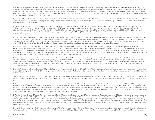https://www.rand.org/content/dam/rand/pubs/rgs\_dissertations/RGSD300/RGSD365/RAND\_RGSD365.pdf [3] Herrman, Z. "Rethinking Teacher Recruitment." Educational Leadership, 75:8, May 2018. http://www.ascd.org/publications/educational-leadership/may18/vol75/num08/Rethinking-Teacher-Recruitment.aspx [4] Konoske-Graf, A., L. Partelow, and M. Benner. "To Attract Great Teachers, School Districts Must Improve Their Human Capital Systems." Center for American Progress, December 22, 2016. https://www.americanprogress.org/issues/education-k-12/reports/2016/12/22/295574/toattract-great-teachers-school-districts-must-improve-their-human-capital-systems/ [5] Keating, T.P. "Four Strategies for Competing in the Recruiting Arena." American Association of School Administrators. https://www.aasa.org/SchoolAdministratorArticle.aspx?id=7744

- 22 [1] Gutierrez, A.A. and D. Johnson. "Virtual Recruitment Through COVID-19 and Beyond." Education Elements, June 9, 2020. https://www.edelements.com/blog/virtual-recruitment-through-covid-19-andbeyond [2] Heubeck, E. "Coronavirus Is Pushing Teacher Hiring Online. Here's What That Means." Education Week, April 1, 2020. https://www.edweek.org/ew/articles/2020/03/30/during-coronaviruscrisis-districts-that-hire-teachers.html
- <sup>23</sup> [1] Garcia, E. and E. Weiss. "The Role of Early Career Supports, Continuous Professional Development, and Learning Communities in the Teacher Shortage: The Fifth Report in 'The Perfect Storm in the Teacher Labor Market' Series." Economic Policy Institute, July 17, 2019. https://www.epi.org/publication/teacher-shortage-professional-development-and-learning-communities/ [2] Sutcher, L., L. Darling-Hammond, and D. Carver-Thomas. "A Coming Crisis in Teaching? Teacher Supply, Demand, and Shortages in the U.S." Learning Policy Institute, September 2016. pp. 53–58, 61–67. https:// learningpolicyinstitute.org/sites/default/files/product-files/A\_Coming\_Crisis\_in\_Teaching\_REPORT.pdf [3] "The Ultimate Guide to Teacher Retention." Education Elements. https://www.edelements.com/ teacher-retention-guide
- <sup>24</sup> [1] "2017 Educator Quality of Work Life Survey." American Federation of Teachers, 2017. pp. i–ii, 4–5, 7–8. https://www.aft.org/sites/default/files/2017\_eqwl\_survey\_web.pdf [2] Walker, T. "How Many Teachers Are Highly Stressed? Maybe More Than People Think." National Education Association, May 11, 2018. https://www.nea.org/advocating-for-change/new-from-nea/how-many-teachers-are-highly-stressedmaybe-more-people-think [3] McCarth, C.J. "Teacher Stress: Balancing Demands and Resources." Phi Delta Kappan, October 28, 2019. https://kappanonline.org/teacher-stress-balancing-demands-resourcesmccarthy/ [4] "School Employee Well-Being." Thriving Schools | Kaiser Permanente. https://thrivingschools.kaiserpermanente.org/school-employees/social-emotional/
- <sup>25</sup> [1] "Support During COVID-19 Pandemic: Self-Care for Teachers and Educational Professionals." Oklahoma State Department of Education, 2020. pp. 2-3. https://sde.ok.gov/sites/default/files/ UPDATED%20Self%20Care%20for%20Teachers%205.1.20.pdf [2] Minkel, J. "Forget Self-Care for Teachers. We Are Fighting for Our Lives." Education Week, July 21, 2020. https://www.edweek.org/ ew/articles/2020/07/22/forget-self-care-for-teachers-we-are-fighting.html [3] "The Rise of Teacher Stress." The Graide Network, April 13, 2020. https://www.thegraidenetwork.com/blog-all/2018/8/1/ crayons-and-cortisol-the-epidemic-of-teacher-stress [4] "Returning to School: Supporting the Social, Emotional, and Behavioral Health of Students and Staff." Ohio Department of Education, August 4, 2020. http://education.ohio.gov/Topics/Reset-and-Restart/Returning-to-School-Supporting-the-Social-Emotio
- <sup>26</sup> [1] Cipriano, C. and M. Brackett. "Teachers Are Anxious and Overwhelmed. They Need SEL Now More Than Ever." EdSurge, April 7, 2020. https://www.edsurge.com/news/2020-04-07-teachers-are-anxiousand-overwhelmed-they-need-sel-now-more-than-ever [2] "Managing Anxiety Around COVID-19: Tips for You and Your School Community." Center for Emotional Intelligence, Yale University. https:// www.rulerapproach.org/managing-anxiety-around-covid-19/ [3] Gil Noam, H. "Flexibility in the Midst of Crisis." Psychology Today, March 11, 2020. https://www.psychologytoday.com/blog/the-inner-lifestudents/202003/flexibility-in-the-midst-crisis [4] Weir, K. "Four Ways to Help Students and Teachers in the New Academic Year." American Psychological Association, July 28, 2020. https://www.apa.org/ topics/covid-19/help-students-teachers
- <sup>27</sup> [1] Beteille, T. "Supporting Teachers During the COVID-19 (Coronavirus) Pandemic." World Bank, May 19, 2020. https://blogs.worldbank.org/education/supporting-teachers-during-covid-19-coronaviruspandemic [2] Nicosia, M. "How Is COVID-19 Impacting the Teacher Workforce?" Education Writers Association, September 1, 2020. https://www.ewa.org/blog-educated-reporter/how-covid-19-impactingteacher-workforce
- <sup>28</sup> Markowitz, A.J., D. Bassok, A. Smith, and S. Kiscaden. "Child Care Teachers' Experiences with COVID-19: Findings from the Study of Early Education in Louisiana." EdPolicyWorks, University of Virginia, and Graduate School of Education and Information Studies, University of California Los Angeles, July 2020, p. 10. http://www.see-partnerships.com/uploads/1/3/2/8/132824390/seela\_covid\_teacher\_report. pdf
- 29 [1] Romano-Arrabito, C. "To Manage Stress, Teachers Need to Prioritize Themselves. Start with Self-Care." EdSurge, December 18, 2019. https://www.edsurge.com/news/2019-12-18-to-manage-stressteachers-need-to-prioritize-themselves-start-with-self-care [2] Thompson, L. "Importance of Self-Care as a Teacher." National Education Association, January 20, 2019. https://www.nea.org/professionalexcellence/student-engagement/tools-tips/importance-self-care-teacher [3] Harper, J. "5 Strategies for Teacher Self-Care." ASCD Express, 15:13, March 12, 2020. http://www.ascd.org/ascd-express/vol15/ num13/5-strategies-for-teacher-self-care.aspx [4] Cox, A., B. Solomon, and D. Parris. "Teacher Well-Being Is a Critical and Often Overlooked Part of School Health." Child Trends, May 18, 2018. https://www. childtrends.org/blog/teacher-well-being-is-a-critical-and-often-overlooked-part-of-school-health
- 30 [1] "Teacher Stress and Health: Effects on Teachers, Students, and Schools." Pennsylvania State University and Robert Wood Johnson Foundation, September 2016. pp. 6–10. https://www.prevention.psu. edu/uploads/files/rwjf430428.pdf [2] Porter, T. "Reflecting on Teacher Wellbeing During the COVID-19 Pandemic." Regional Educational Laboratory Pacific, McREL International, Regional Educational Laboratory Program (REL): Pacific, June 22, 2020. https://ies.ed.gov/ncee/edlabs/regions/pacific/blogs/blog28\_reflecting-on-teacher-wellbeing-during-COVID-19-pandemic.asp [3] Mota, I. "Maintaining Wellness for Teachers and Staff During Distance Learning." Association for Supervision and Curriculum Development, April 27, 2020. https://inservice.ascd.org/maintaining-wellness-for-teachers-and-staffduring-distance-learning/ [4] Mackenzie, M. "Teacher Wellness Program Counters Trauma and Stress in the Classroom." Johns Hopkins University, 2019. https://hub.jhu.edu/magazine/2019/spring/happyteacher-revolution-stress-trauma/
- 31 [1] Mindich, D. and A. Lieberman. "Building a Learning Community: A Tale of Two Schools." Stanford Center for Opportunity Policy in Education and Learning Forward, 2012. pp. 3-6. http://outlier.uchicago. edu/computerscience/OS4CS/landscapestudy/resources/Mindich-and-Lieberman-2012.pdf [2] Garcia, J.C. "Professional Development in the 21st Century (Part II) – School-Based Teacher Professional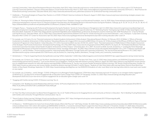Learning Communities." Intercultural Development Research Association, April 2012. https://www.idra.org/resource-center/professional-development-in-the-21st-century-part-ii/ [3] "Professional Learning Community Definition." Glossary of Education Reform | Great Schools Partnership, March 3, 2014. https://www.edglossary.org/professional-learning-community/ [4] Provini, C. "Best Practices for Professional Learning Communities." Education World, 2012. https://www.educationworld.com/a\_admin/best-practices-for-professional-learning-communities.shtml

- 32 Holdheide, L. "Promising Strategies to Prepare New Teachers in a COVID-19 World." American Institutes for Research, August 5, 2020. https://www.air.org/resource/promising-strategies-prepare-newteachers-covid-19-world
- 33 [1] Allen, M. "Planning for Better Professional Development in an Uncertain Future." Edutopia | George Lucas Educational Foundation, June 16, 2020. https://www.edutopia.org/article/planning-betterprofessional-development-uncertain-future [2] "Research Eclipsed: How Educators Are Reinventing Research-Informed Practice During the Pandemic." EdSurge. pp. 8–10, 18–19, 22, 24–26, 31–38, 45–47. https://d3btwko586hcvj.cloudfront.net/uploads/pdf/file/212/Research\_Eclipsed\_FINAL-1600884157.pdf
- 34 [1] Nagele-Piazza, L. "Keeping Up with Professional Development During the Pandemic." Society for Human Resource Management, April 13, 2020. https://www.shrm.org/resourcesandtools/legal-andcompliance/employment-law/pages/keeping-up-with-professional-development-during-the-pandemic.aspx [2] Lieberman, M. "Rethinking Teacher Training During COVID-19: Bite-Sized Digital Lessons." Education Week, September 24, 2020. http://blogs.edweek.org/edweek/DigitalEducation/2020/09/tech\_professional\_development\_teachers.html?cmp=SOC-SHR-FB [3] Rauf, D.S. "5 Tips for Remote Learning PD Success." Education Week, July 22, 2020. https://www.edweek.org/ew/articles/2020/07/23/5-tips-for-remote-learning-pd-success.html [4] Brandt, C. and J. Thompson. "Carpe Diem: Evolving Education After COVID-19." Center for Assessment, April 30, 2020. https://www.nciea.org/blog/professional-development/carpe-diem-evolving-education-after-covid-19
- 35 For example, see: [1] Castro, M. et al. "Parental Involvement on Student Academic Achievement: A Meta-Analysis." Educational Research Review, 14, February 2015. [2] Wilder, S. "Effects of Parental Involvement on Academic Achievement: A Meta-Synthesis." Educational Review, 66:3, August 2014. Accessed via EBSCOHost. [3] Jeynes, W. "A Meta-Analysis of the Efficacy of Different Types of Parental Involvement Programs for Urban Students." Urban Education, 47:4, 2012. Accessed via SAGE Journals. [4] Hill, N.E. and D.F. Tyson. "Parental Involvement in Middle School: A Meta-Analytic Assessment of the Strategies That Promote Achievement." Developmental Psychology, 45:3, May 2009. https://www.ncbi.nlm.nih.gov/pmc/articles/PMC2782391/ [5] Jeynes, W. "The Relationship Between Parental Involvement and Urban Secondary School Student Academic Achievement: A Meta-Analysis." Urban Education, 42:1, 2007. Accessed via SAGE Journals. [6] Domina, T. "Leveling the Home Advantage: Assessing the Effectiveness of Parental Involvement in Elementary School." Sociology of Education, 78, 2005. https://citeseerx.ist.psu.edu/viewdoc/download?doi=10.1.1.547.7735&rep=rep1&type=pdf [7] Epstein, J.L. and S.B. Sheldon. "Present and Accounted for: Improving Student Attendance Through Family and Community Involvement." The Journal of Educational Research, 95:5, 2002. https:// attendanceworks.org/wp-content/uploads/2017/06/Present\_and\_Accounted\_For\_Improving\_Student\_Attendance\_Through\_Family\_and\_Community\_Involvement.pdf
- <sup>36</sup> Strietelmeier, C. "4 Tips for Supporting Parents During Remote Learning." EdTech, September 9, 2020. https://edtechmagazine.com/k12/article/2020/09/4-tips-supporting-parents-during-remote-learning
- <sup>37</sup> For example, see: {1] Harris, E.A. "'It Was Just Too Much': How Remote Learning Is Breaking Parents." The New York Times, June 12, 2020. https://www.nytimes.com/2020/04/27/nyregion/coronavirushomeschooling-parents.html [2] Stavely, Z. "Low-Income Parents Turn to Neighbors, Family for Help with Distance Learning." EdSource, August 28, 2020. https://edsource.org/2020/low-income-parentsturn-to-neighborhood-networks-for-help-with-distance-learning/639061 [3] Brenneman, R. "Survey: Low-Income Families Strained by Distance Learning." USC Rossier School of Education, October 21, 2020. https://rossier.usc.edu/survey-low-income-families-strained-by-distance-learning/ [4] Smith, E. and R.V. Reeves. "Students of Color Most Likely to Be Learning Online: Districts Must Work Even Harder on Race Equity." Brookings, September 23, 2020. https://www.brookings.edu/blog/how-we-rise/2020/09/23/students-of-color-most-likely-to-be-learning-online-districts-must-work-even-harderon-race-equity/
- <sup>38</sup> For example, see: [1] Kekelis, L. and R. Ottinger. "COVID-19 Requires Us to Reimagine Family Engagement." STEM Next. https://stemnext.org/covid-19-requires-us-to-reimagine-family-engagement/ [2] Winthrop, R. "Can New Forms of Parent Engagement Be an Education Game Changer Post-COVID-19?" Brookings, October 21, 2020. https://www.brookings.edu/blog/education-plusdevelopment/2020/10/21/can-new-forms-of-parent-engagement-be-an-education-game-changer-post-covid-19/
- <sup>39</sup> "Engaging with Families during COVID-19 Distance Learning," Op. cit.
- 40 Constantino, S.M. "Building Successful Relationships with Every Family: 10 Practical Applications for Classroom Teachers." 2016. https://drsteveconstantino.com/wp-content/uploads/2016/08/10- PRACTICAL-APPLICATIONS-FOR-CLASSROOM-TEACHERS.pdf
- 41 Constantino, Op. cit.
- <sup>42</sup> [1] "How Two-Way Communication Can Boost Parent Engagement," Op. cit. [2] "Toolkit of Resources for Engaging Parents and Community as Partners in Education Part 3: Building Trusting Relationships with Families and Community Through Effective Communication," Op. cit.
- <sup>43</sup> "Parent Guide to Online Learning." Michigan Virtual Learning Research Institute, 2017. https://michiganvirtual.org/wp-content/uploads/2017/03/parentguide.pdf#\_ ga=2.44289892.1727705814.1584546002-1459747571.1581971323
- 44 [1] Altavena, L. "50,000 Students Are Gone from Arizona Public Schools. Where Did They Go?" USA Today, October 30, 2020. https://www.usatoday.com/story/news/education/2020/10/30/arizona-publicschool-enrollment-down-50-k-where-did-students-go/6084062002/ [2] Werth, J. "Connecticut Schools Report Largest One-Year Drop on Record." CT Examiner, October 17, 2020. https://ctexaminer. com/2020/10/17/connecticut-schools-report-largest-one-year-drop-on-record/ [3] St. George, D. H. Natanson, and P. Stein. "School enrollment Falls Across the Washington Region." The Washington Post,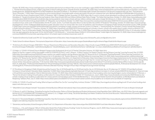October 30, 2020. https://www.washingtonpost.com/local/education/school-enrollment-falls-across-the-washington-region/2020/10/30/c256326a-08f5-11eb-9be6-cf25fb429f1a\_story.html [4] Postal, L. "Florida School Enrollment Drops; Leaders Urge State to Keep Funding the Same." Orlando Sentinel, September 18, 2020. https://www.orlandosentinel.com/news/education/os-ne-teachers-union-schoolfunding-governor-20200918-degx2hnm7va7bfy7lmepftorze-story.html [5] Wilson, S. "Enrollment in Mississippi Public Schools Decreased by 5.26 Percent Compared with Last Year." The Enterprise-Tocsin, December 7, 2020. https://www.enterprise-tocsin.com/enrollment-mississippi-public-schools-decreased-526-percent-compared-last-year-0#sthash.tg0eK3pi.vV3WNSdp.dpbs [6] Kummerer, S. "NC Schools See Drop in Students Amid COVID 19 Pandemic." ABC11 Raleigh-Durham, November 23, 2020. https://abc11.com/nc-schools-school-attendance-enrollment-durham-county/8204335/ [7] Donaldson, E. "Student Enrollment Dips During Pandemic Mean Texas Schools Will Lose Millions Without State Policy Change." The Dallas Morning News, October 31, 2020. https://www.dallasnews.com/ news/education/2020/10/31/student-enrollment-dips-during-pandemic-mean-texas-schools-will-lose-millions-without-state-policy-change/ [8] Johnson, A., S. West, and A. Johnson. "Wisconsin's 2020- 21 Public School Enrollment Drops Amid COVID-19." Milwaukee Journal Sentinel, October 15, 2020. https://www.jsonline.com/story/news/education/2020/10/15/wisconsins-2020-21-public-schoolenrollment-drops-amid-covid-19/3652161001/ [9] Hill, P.T. and A. Jochim. "Can Public Education Return to Normal after the COVID-19 Pandemic?" Brookings, October 29, 2020. https://www.brookings. edu/blog/brown-center-chalkboard/2020/10/29/can-public-education-return-to-normal-after-the-covid-19-pandemic/ [10] "Enrollment Is Dropping In Public Schools Around the Country." NPR, October 9, 2020. https://www.npr.org/2020/10/09/920316481/enrollment-is-dropping-in-public-schools-around-the-country [11] Werth, J. "Homeschooling, Pre-Schoolers, Charter Schools May Explain Drop in Public School Enrollment." CT Examiner, October 21, 2020. https://ctexaminer.com/2020/10/21/homeschooling-pre-schoolers-charter-schools-may-explain-drop-in-public-school-enrollment/ [12] McDonald, K. "Four K-12 Education Models That May Gain Popularity During COVID-19." Forbes, May 11, 2020. https://www.forbes.com/sites/kerrymcdonald/2020/05/11/four-k-12-education-modelsthat-may-gain-popularity-during-covid-19/?sh=2ef107a56b77 [13] McKenzie, L. "Universities Report Online K-12 Enrollment Boost." Inside Higher Ed, September 21, 2020. https://www.insidehighered. com/news/2020/09/21/universities-operating-online-k-12-schools-report-enrollment-boost-due-covid-19

- <sup>45</sup> "Student Enrollment by Grade Level (PK-12)." Georgia Department of Education. https://oraapp.doe.k12.ga.us/ows-bin/owa/fte\_pack\_enrollgrade.entry\_form
- 46 "Public School Enrollment Reports." Pennsylvania Department of Education. https://www.education.pa.gov/DataAndReporting/Enrollment/Pages/PublicSchEnrReports.aspx
- <sup>47</sup> "Preliminary Enrollment Changes 2020-2021." Missouri Department of Elementary and Secondary Education. https://results.mo.gov/t/DESE/views/2020-2021PreliminaryEnrollmentChanges/ EnrollmentChanges?%3Atoolbar=no&%3AshowAppBanner=false&%3Adisplay\_count=n&%3AshowVizHome=n&%3Aorigin=viz\_share\_link&%3AisGuestRedirectFromVizportal=y&%3Aembed=y
- <sup>48</sup> [1] Kaden, U. "COVID-19 School Closure-Related Changes to the Professional Life of a K-12 Teacher." Education Sciences, 10, 2020. https://eric. ed.gov/?q=teacher+support+online+learning&ft=on&id=EJ1258705 [2] Flott, E. and C. Simpson. "6 Ways Coaches Can Support Teachers during Distance Learning." Learning Forward, May 19, 2020. https:https://learningforward.org/2020/05/6-ways-coaches-can-support-teachers-during-distance-learning/ [3] "Resources for K-12 Educators Teaching Remotely." Online Learning Consortium, Inc. https://onlinelearningconsortium.org/learn/resources-for-k-12-educators/ [4] "Teacher Resources." SETDA Coalition for eLearning, March 14, 2020. https://www.setda.org/main-coalitions/elearning/ teachers/ [5] "Resources for Teachers." Office of Elementary and Secondary Education, U.S. Department of Education. https://oese.ed.gov/resources/learning-at-home/resources-for-teachers/ [6] Rauf, D. "5 Tips for Remote Learning PD Success." Education Week, July 22, 2020. https://www.edweek.org/teaching-learning/5-tips-for-remote-learning-pd-success/2020/07 [7] Tucker, C. "Successfully Taking Offline Classes Online." Educational Leadership, 77:10, Summer 2020. http://www.ascd.org/publications/educational-leadership/summer20/vol77/num10/Successfully-Taking-Offline-Classes-Online.aspx [8] Davis, N. and R. Rose. "Professional Development for Virtual Schooling and Online Learning." NACOL. http://www.aurora-institute.org/wp-content/uploads/NACOL\_Professional-development-for-virtualschooling.pdf [9] "Professional Development on Remote & Blended Teaching." Michigan Virtual. https://michiganvirtual.org/remote-teaching/
- <sup>49</sup> [1] "Enrollment Is Dropping In Public Schools Around the Country," Op. cit. [2] McDonald, Op. cit. [3] Hill and Jochim, Op. cit. [4] McKenzie, Op. cit. [5] Lieberman, M. "COVID-19 Fuels Big Enrollment Increases in Virtual Schools." Education Week, September 3, 2020. https://www.edweek.org/leadership/covid-19-fuels-big-enrollment-increases-in-virtual-schools/2020/09 [6] Zalaznick, M. "How to Create a Virtual Online Learning Academy." District Administration, October 19, 2020. https://districtadministration.com/create-virtual-academy-online-learning-darlington-county-school-district/ [7] Benson, J. "Parma City Schools Creating Virtual Academy as Alternative for Uneasy Parents Worried about COVID-19." Cleveland.com, June 4, 2020. https://www.cleveland.com/community/2020/06/parma-cityschools-creating-virtual-academy-as-alternative-for-uneasy-parents-worried-about-covid-19.html [8] Blankenship, C. "Virtual School Named 'Summit Virtual Academy' as RSS Board Sorts out Details of Reopening." Salisbury Post, July 27, 2020. https://www.salisburypost.com/2020/07/27/virtual-school-named-summit-virtual-academy-as-rss-board-sorts-out-details-of-reopening/
- <sup>50</sup> Griffith, M. "COVID-19 and School Funding: What to Expect and What You Can Do." Learning Policy Institute, October 7, 2020. https://learningpolicyinstitute.org/blog/covid-19-and-school-funding-whatexpect-and-what-you-can-do
- <sup>51</sup> "What Will it Cost to Reopen Schools?" Association of School Business Officials International. https://www.asbointl.org/asbo/media/documents/Resources/covid/COVID-19-Costs-to-Reopen-Schools.pdf
- <sup>52</sup> [1] Shores, K. and M. P. Steinberg. "Schooling During the Great Recession: Patters of School Spending and Student Achievement Using Population Data." AERA Open, July 2019. https://journals.sagepub.com/ doi/full/10.1177/2332858419877431#abstract [2] Jackson C. K., C. Wigger, and H. Xiong. "Do School Spending Cuts Matter? Evidence from the Great Recession." National Bureau of Economic Research, January 2018. https://www.nber.org/papers/w24203
- <sup>53</sup> Burnett, D. "Devastated Budgets and Widening Inequities: How the Coronavirus Collapse Will Impact Schools." Education Week, May 8, 2020. https://www.edweek.org/ew/articles/2020/05/09/devastatedbudgets-and-widening-inequities-how-the.html
- <sup>54</sup> "Elementary and Secondary School Emergency Relief Fund." U.S. Department of Education. https://oese.ed.gov/files/2020/04/ESSER-Fund-State-Allocations-Table.pdf
- <sup>55</sup> Partelow, L., J. Yin, and S. Sargrad. "Why K-12 Education Needs More Federal Stimulus Funding." Center for American Progress, July 21, 2020. https://www.americanprogress.org/issues/education-k-12/ reports/2020/07/21/487865/k-12-education-needs-federal-stimulus-funding/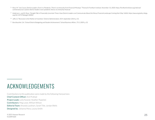- 56 Roza, M. "Use Cause, District Leaders: Even in a Pandemic, There's no Immunity from Financial Missteps." Thomas B. Fordham Institute, November 13, 2020. https://fordhaminstitute.org/national/ commentary/use-caution-district-leaders-even-pandemic-theres-no-immunity-financial
- 57 Anderson, L. and M. Roza. "Straight Talk in Financially Uncertain Times: How District Leaders can Communicate About the Messy Financial Landscape Coming their Way." AASA. https://aasa.org/policy-blogs. aspx?id=44727&blogid=84002
- <sup>58</sup> Jaffe, D. "Recession Is the Mother of Invention." District Administration, 50:9, September 2014. p. 53.
- <sup>59</sup> Burckbuchler, S.A. "School District Budgeting and Student Achievement." School Business Affairs, 75:5, 2009. p. 32

### ACKNOWLEDGEMENTS

Contributions to this publication were made by the following Hanoverians: Chief Content Officer: Anil Prahlad Project Leads: Leila Nuland, Heather Popielski Contributors: Meg Lowe, William Wilson Editorial Team: Amanda Lockhart, Sarah Title, Jordan Wells Designed by: Johanna Mora, Louisa Smith

© 2021 Hanover Research  $25$ K12WP1020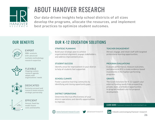

# ABOUT HANOVER RESEARCH

Our data-driven insights help school districts of all sizes develop the programs, allocate the resources, and implement best practices to optimize student outcomes.

### OUR BENEFITS



EXPERT **200+** analysts with advanced multiple methodology research expertise



Ongoing custom research agenda adapts with organizations' needs **FLEXIBLE** 



### DEDICATED

Exclusive account and research teams ensure strategic partnership



### EFFICIENT

Annual, fixed-fee model shares costs and benefits

### OUR K-12 EDUCATION SOLUTIONS

#### STRATEGIC PLANNING

Build your strategic plan to achieve organizational alignment, engage stakeholders, and address improvement areas.

#### STUDENT SUCCESS

Identify areas for improvement in your district to help all students feel supported.

#### SCHOOL CLIMATE

Foster a positive learning community by identifying and closing opportunity gaps.

### development. DISTRICT OPERATIONS

Determine the true effectiveness of your district operations and identify opportunities to improve.

#### TEACHER ENGAGEMENT

Attract, engage, and retain staff with targeted professional learning opportunities.

#### PROGRAM EVALUATIONS

Evaluate performance, measure outcomes, and determine ROI to make evidence-based investments in the highest-performing programs.

#### **GRANTS**

The Grant Solutions for K-12 support your external funding needs from prospecting private, state, and federal opportunities to program feedback and full proposal

#### LEARN MORE: hanoverresearch.com/contact-us



www.hanoverresearch.com  $\bullet$  @hanoverresearch  $\bullet$  linkedin.com/company/hanover-research